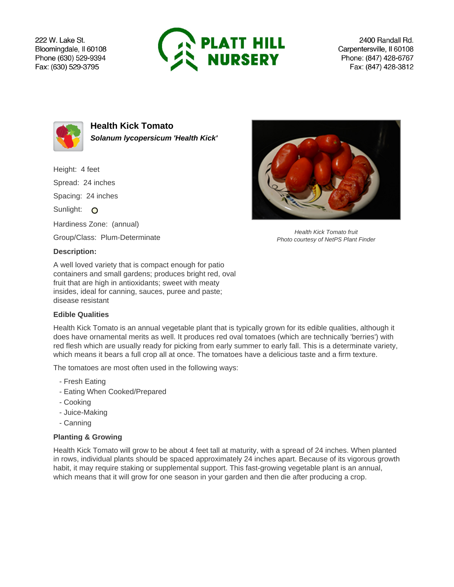222 W. Lake St. Bloomingdale, Il 60108 Phone (630) 529-9394 Fax: (630) 529-3795



2400 Randall Rd. Carpentersville, Il 60108 Phone: (847) 428-6767 Fax: (847) 428-3812



**Health Kick Tomato Solanum lycopersicum 'Health Kick'**

Height: 4 feet Spread: 24 inches Spacing: 24 inches Sunlight: O Hardiness Zone: (annual) Group/Class: Plum-Determinate

## **Description:**

A well loved variety that is compact enough for patio containers and small gardens; produces bright red, oval fruit that are high in antioxidants; sweet with meaty insides, ideal for canning, sauces, puree and paste; disease resistant

## **Edible Qualities**

Health Kick Tomato is an annual vegetable plant that is typically grown for its edible qualities, although it does have ornamental merits as well. It produces red oval tomatoes (which are technically 'berries') with red flesh which are usually ready for picking from early summer to early fall. This is a determinate variety, which means it bears a full crop all at once. The tomatoes have a delicious taste and a firm texture.

The tomatoes are most often used in the following ways:

- Fresh Eating
- Eating When Cooked/Prepared
- Cooking
- Juice-Making
- Canning

## **Planting & Growing**

Health Kick Tomato will grow to be about 4 feet tall at maturity, with a spread of 24 inches. When planted in rows, individual plants should be spaced approximately 24 inches apart. Because of its vigorous growth habit, it may require staking or supplemental support. This fast-growing vegetable plant is an annual, which means that it will grow for one season in your garden and then die after producing a crop.



Health Kick Tomato fruit Photo courtesy of NetPS Plant Finder